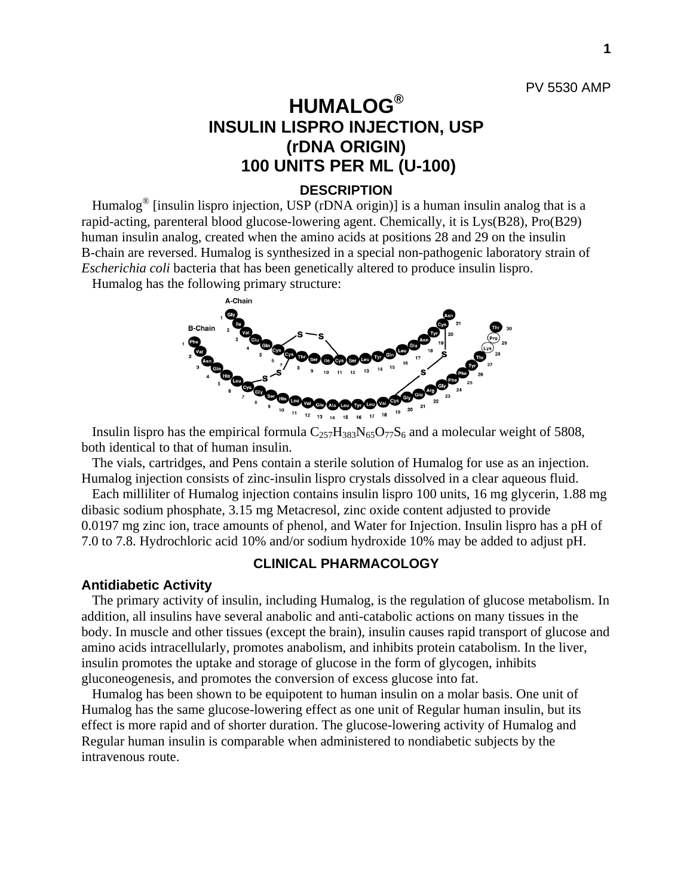PV 5530 AMP

# **HUMALOG® INSULIN LISPRO INJECTION, USP (rDNA ORIGIN) 100 UNITS PER ML (U-100)**

# **DESCRIPTION**

Humalog<sup>®</sup> [insulin lispro injection, USP (rDNA origin)] is a human insulin analog that is a rapid-acting, parenteral blood glucose-lowering agent. Chemically, it is Lys(B28), Pro(B29) human insulin analog, created when the amino acids at positions 28 and 29 on the insulin B-chain are reversed. Humalog is synthesized in a special non-pathogenic laboratory strain of *Escherichia coli* bacteria that has been genetically altered to produce insulin lispro.

Humalog has the following primary structure:



Insulin lispro has the empirical formula  $C_{257}H_{383}N_{65}O_{77}S_6$  and a molecular weight of 5808, both identical to that of human insulin.

The vials, cartridges, and Pens contain a sterile solution of Humalog for use as an injection. Humalog injection consists of zinc-insulin lispro crystals dissolved in a clear aqueous fluid.

Each milliliter of Humalog injection contains insulin lispro 100 units, 16 mg glycerin, 1.88 mg dibasic sodium phosphate, 3.15 mg Metacresol, zinc oxide content adjusted to provide 0.0197 mg zinc ion, trace amounts of phenol, and Water for Injection. Insulin lispro has a pH of 7.0 to 7.8. Hydrochloric acid 10% and/or sodium hydroxide 10% may be added to adjust pH.

# **CLINICAL PHARMACOLOGY**

# **Antidiabetic Activity**

The primary activity of insulin, including Humalog, is the regulation of glucose metabolism. In addition, all insulins have several anabolic and anti-catabolic actions on many tissues in the body. In muscle and other tissues (except the brain), insulin causes rapid transport of glucose and amino acids intracellularly, promotes anabolism, and inhibits protein catabolism. In the liver, insulin promotes the uptake and storage of glucose in the form of glycogen, inhibits gluconeogenesis, and promotes the conversion of excess glucose into fat.

Humalog has been shown to be equipotent to human insulin on a molar basis. One unit of Humalog has the same glucose-lowering effect as one unit of Regular human insulin, but its effect is more rapid and of shorter duration. The glucose-lowering activity of Humalog and Regular human insulin is comparable when administered to nondiabetic subjects by the intravenous route.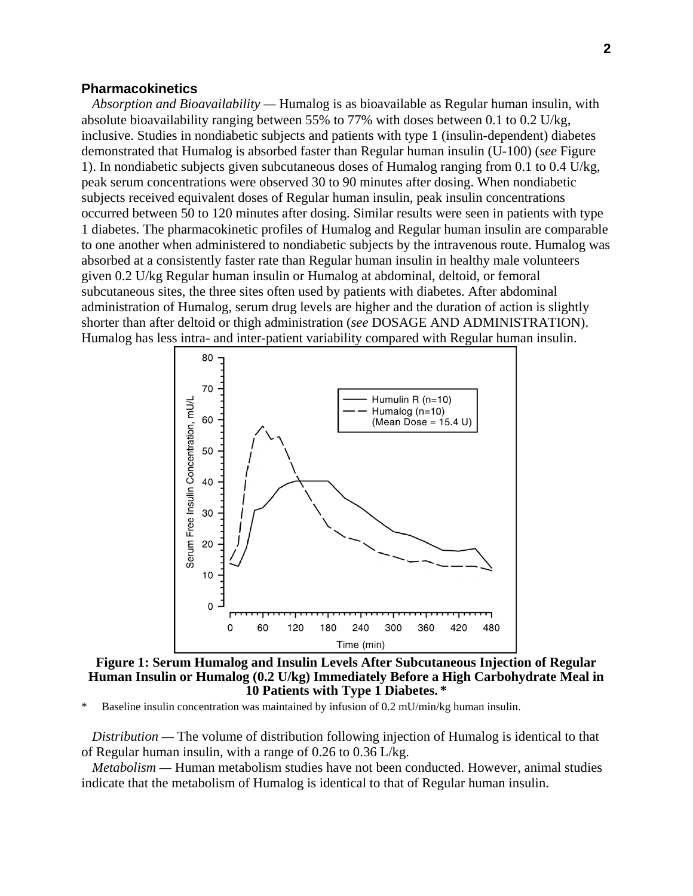# **Pharmacokinetics**

*Absorption and Bioavailability —* Humalog is as bioavailable as Regular human insulin, with absolute bioavailability ranging between 55% to 77% with doses between 0.1 to 0.2 U/kg, inclusive. Studies in nondiabetic subjects and patients with type 1 (insulin-dependent) diabetes demonstrated that Humalog is absorbed faster than Regular human insulin (U-100) (*see* Figure 1). In nondiabetic subjects given subcutaneous doses of Humalog ranging from 0.1 to 0.4 U/kg, peak serum concentrations were observed 30 to 90 minutes after dosing. When nondiabetic subjects received equivalent doses of Regular human insulin, peak insulin concentrations occurred between 50 to 120 minutes after dosing. Similar results were seen in patients with type 1 diabetes. The pharmacokinetic profiles of Humalog and Regular human insulin are comparable to one another when administered to nondiabetic subjects by the intravenous route. Humalog was absorbed at a consistently faster rate than Regular human insulin in healthy male volunteers given 0.2 U/kg Regular human insulin or Humalog at abdominal, deltoid, or femoral subcutaneous sites, the three sites often used by patients with diabetes. After abdominal administration of Humalog, serum drug levels are higher and the duration of action is slightly shorter than after deltoid or thigh administration (*see* DOSAGE AND ADMINISTRATION). Humalog has less intra- and inter-patient variability compared with Regular human insulin.



**Figure 1: Serum Humalog and Insulin Levels After Subcutaneous Injection of Regular Human Insulin or Humalog (0.2 U/kg) Immediately Before a High Carbohydrate Meal in 10 Patients with Type 1 Diabetes. \***

\* Baseline insulin concentration was maintained by infusion of 0.2 mU/min/kg human insulin.

*Distribution —* The volume of distribution following injection of Humalog is identical to that of Regular human insulin, with a range of 0.26 to 0.36 L/kg.

*Metabolism* — Human metabolism studies have not been conducted. However, animal studies indicate that the metabolism of Humalog is identical to that of Regular human insulin.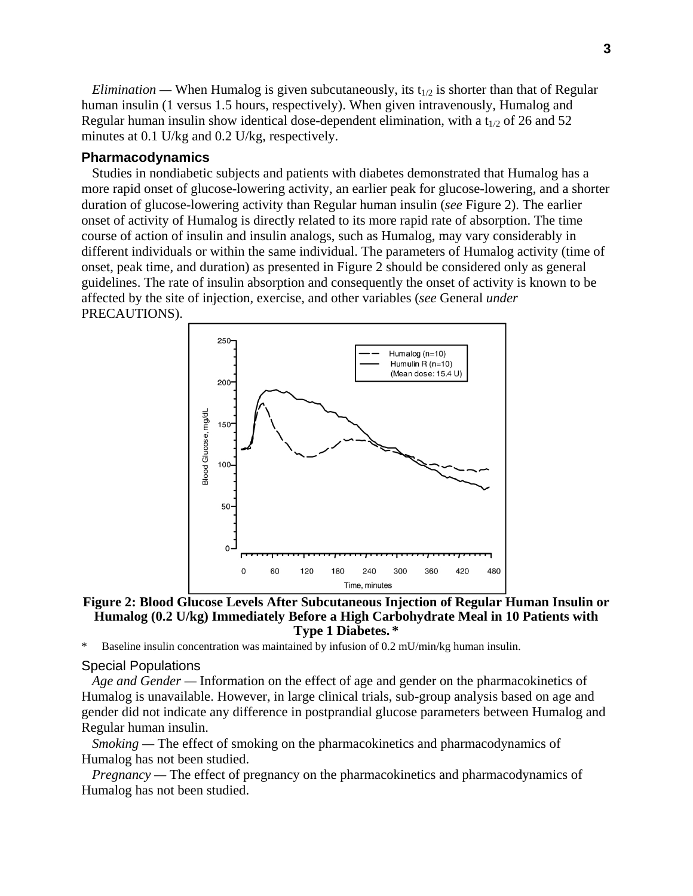*Elimination* — When Humalog is given subcutaneously, its  $t_{1/2}$  is shorter than that of Regular human insulin (1 versus 1.5 hours, respectively). When given intravenously, Humalog and Regular human insulin show identical dose-dependent elimination, with a  $t_{1/2}$  of 26 and 52 minutes at 0.1 U/kg and 0.2 U/kg, respectively.

## **Pharmacodynamics**

Studies in nondiabetic subjects and patients with diabetes demonstrated that Humalog has a more rapid onset of glucose-lowering activity, an earlier peak for glucose-lowering, and a shorter duration of glucose-lowering activity than Regular human insulin (*see* Figure 2). The earlier onset of activity of Humalog is directly related to its more rapid rate of absorption. The time course of action of insulin and insulin analogs, such as Humalog, may vary considerably in different individuals or within the same individual. The parameters of Humalog activity (time of onset, peak time, and duration) as presented in Figure 2 should be considered only as general guidelines. The rate of insulin absorption and consequently the onset of activity is known to be affected by the site of injection, exercise, and other variables (*see* General *under* PRECAUTIONS).



**Figure 2: Blood Glucose Levels After Subcutaneous Injection of Regular Human Insulin or Humalog (0.2 U/kg) Immediately Before a High Carbohydrate Meal in 10 Patients with Type 1 Diabetes. \***

Baseline insulin concentration was maintained by infusion of 0.2 mU/min/kg human insulin.

#### Special Populations

*Age and Gender —* Information on the effect of age and gender on the pharmacokinetics of Humalog is unavailable. However, in large clinical trials, sub-group analysis based on age and gender did not indicate any difference in postprandial glucose parameters between Humalog and Regular human insulin.

*Smoking —* The effect of smoking on the pharmacokinetics and pharmacodynamics of Humalog has not been studied.

*Pregnancy* — The effect of pregnancy on the pharmacokinetics and pharmacodynamics of Humalog has not been studied.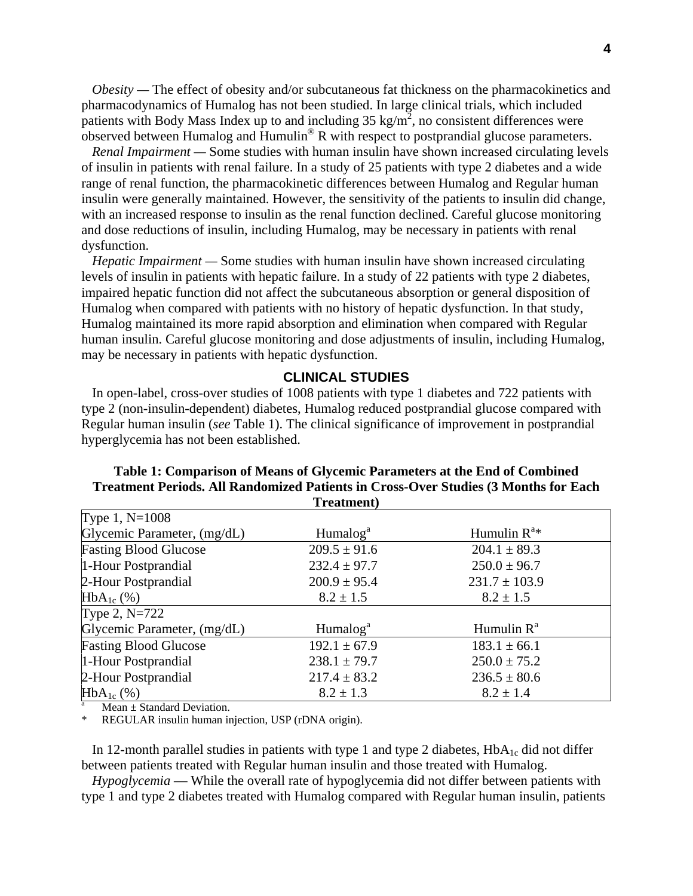*Obesity* — The effect of obesity and/or subcutaneous fat thickness on the pharmacokinetics and pharmacodynamics of Humalog has not been studied. In large clinical trials, which included patients with Body Mass Index up to and including 35 kg/m<sup>2</sup>, no consistent differences were observed between Humalog and Humulin<sup>®</sup> R with respect to postprandial glucose parameters.

*Renal Impairment —* Some studies with human insulin have shown increased circulating levels of insulin in patients with renal failure. In a study of 25 patients with type 2 diabetes and a wide range of renal function, the pharmacokinetic differences between Humalog and Regular human insulin were generally maintained. However, the sensitivity of the patients to insulin did change, with an increased response to insulin as the renal function declined. Careful glucose monitoring and dose reductions of insulin, including Humalog, may be necessary in patients with renal dysfunction.

*Hepatic Impairment —* Some studies with human insulin have shown increased circulating levels of insulin in patients with hepatic failure. In a study of 22 patients with type 2 diabetes, impaired hepatic function did not affect the subcutaneous absorption or general disposition of Humalog when compared with patients with no history of hepatic dysfunction. In that study, Humalog maintained its more rapid absorption and elimination when compared with Regular human insulin. Careful glucose monitoring and dose adjustments of insulin, including Humalog, may be necessary in patients with hepatic dysfunction.

#### **CLINICAL STUDIES**

In open-label, cross-over studies of 1008 patients with type 1 diabetes and 722 patients with type 2 (non-insulin-dependent) diabetes, Humalog reduced postprandial glucose compared with Regular human insulin (*see* Table 1). The clinical significance of improvement in postprandial hyperglycemia has not been established.

#### **Table 1: Comparison of Means of Glycemic Parameters at the End of Combined Treatment Periods. All Randomized Patients in Cross-Over Studies (3 Months for Each Treatment)**

|                              | 11 vuunnil              |                   |
|------------------------------|-------------------------|-------------------|
| Type $1, N=1008$             |                         |                   |
| Glycemic Parameter, (mg/dL)  | Humalog <sup>a</sup>    | Humulin $R^{a*}$  |
| <b>Fasting Blood Glucose</b> | $209.5 \pm 91.6$        | $204.1 \pm 89.3$  |
| 1-Hour Postprandial          | $232.4 \pm 97.7$        | $250.0 \pm 96.7$  |
| 2-Hour Postprandial          | $200.9 \pm 95.4$        | $231.7 \pm 103.9$ |
| $HbA_{1c}$ (%)               | $8.2 \pm 1.5$           | $8.2 \pm 1.5$     |
| Type 2, N=722                |                         |                   |
| Glycemic Parameter, (mg/dL)  | $H$ umalog <sup>a</sup> | Humulin $R^a$     |
| <b>Fasting Blood Glucose</b> | $192.1 \pm 67.9$        | $183.1 \pm 66.1$  |
| 1-Hour Postprandial          | $238.1 \pm 79.7$        | $250.0 \pm 75.2$  |
| 2-Hour Postprandial          | $217.4 \pm 83.2$        | $236.5 \pm 80.6$  |
| $HbA_{1c}$ (%)               | $8.2 \pm 1.3$           | $8.2 \pm 1.4$     |
| Moon Ctondond Dovestion      |                         |                   |

Mean ± Standard Deviation.

REGULAR insulin human injection, USP (rDNA origin).

In 12-month parallel studies in patients with type 1 and type 2 diabetes,  $HbA_{1c}$  did not differ between patients treated with Regular human insulin and those treated with Humalog.

*Hypoglycemia* — While the overall rate of hypoglycemia did not differ between patients with type 1 and type 2 diabetes treated with Humalog compared with Regular human insulin, patients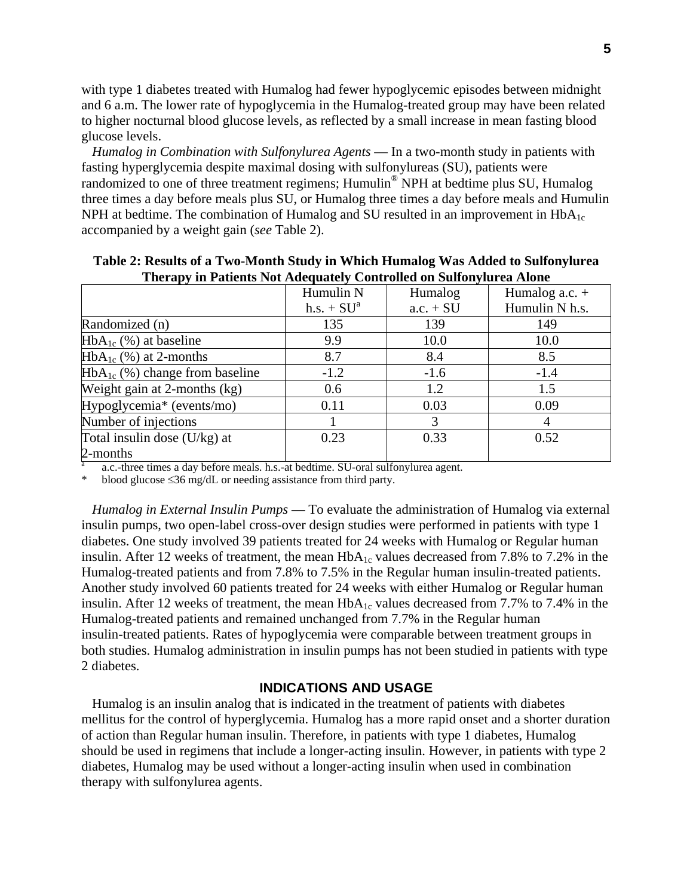with type 1 diabetes treated with Humalog had fewer hypoglycemic episodes between midnight and 6 a.m. The lower rate of hypoglycemia in the Humalog-treated group may have been related to higher nocturnal blood glucose levels, as reflected by a small increase in mean fasting blood glucose levels.

*Humalog in Combination with Sulfonylurea Agents* — In a two-month study in patients with fasting hyperglycemia despite maximal dosing with sulfonylureas (SU), patients were randomized to one of three treatment regimens; Humulin® NPH at bedtime plus SU, Humalog three times a day before meals plus SU, or Humalog three times a day before meals and Humulin NPH at bedtime. The combination of Humalog and SU resulted in an improvement in  $HbA_{1c}$ accompanied by a weight gain (*see* Table 2).

| Therapy in Fauchts For Aucquatery Controlled on Sunonylarea Alone |              |             |                  |  |
|-------------------------------------------------------------------|--------------|-------------|------------------|--|
|                                                                   | Humulin N    | Humalog     | Humalog a.c. $+$ |  |
|                                                                   | $h.s. + SUa$ | $a.c. + SU$ | Humulin N h.s.   |  |
| Randomized (n)                                                    | 135          | 139         | 149              |  |
| $HbA_{1c}$ (%) at baseline                                        | 9.9          | 10.0        | 10.0             |  |
| $HbA_{1c}$ (%) at 2-months                                        | 8.7          | 8.4         | 8.5              |  |
| $HbA_{1c}$ (%) change from baseline                               | $-1.2$       | $-1.6$      | $-1.4$           |  |
| Weight gain at 2-months (kg)                                      | 0.6          | 1.2         | 1.5              |  |
| Hypoglycemia* (events/mo)                                         | 0.11         | 0.03        | 0.09             |  |
| Number of injections                                              |              | 3           | 4                |  |
| Total insulin dose $(U/kg)$ at                                    | 0.23         | 0.33        | 0.52             |  |
| 2-months                                                          |              |             |                  |  |

**Table 2: Results of a Two-Month Study in Which Humalog Was Added to Sulfonylurea Therapy in Patients Not Adequately Controlled on Sulfonylurea Alone** 

a a.c.-three times a day before meals. h.s.-at bedtime. SU-oral sulfonylurea agent.

\* blood glucose ≤36 mg/dL or needing assistance from third party.

*Humalog in External Insulin Pumps* — To evaluate the administration of Humalog via external insulin pumps, two open-label cross-over design studies were performed in patients with type 1 diabetes. One study involved 39 patients treated for 24 weeks with Humalog or Regular human insulin. After 12 weeks of treatment, the mean  $HbA_{1c}$  values decreased from 7.8% to 7.2% in the Humalog-treated patients and from 7.8% to 7.5% in the Regular human insulin-treated patients. Another study involved 60 patients treated for 24 weeks with either Humalog or Regular human insulin. After 12 weeks of treatment, the mean  $HbA_{1c}$  values decreased from 7.7% to 7.4% in the Humalog-treated patients and remained unchanged from 7.7% in the Regular human insulin-treated patients. Rates of hypoglycemia were comparable between treatment groups in both studies. Humalog administration in insulin pumps has not been studied in patients with type 2 diabetes.

#### **INDICATIONS AND USAGE**

Humalog is an insulin analog that is indicated in the treatment of patients with diabetes mellitus for the control of hyperglycemia. Humalog has a more rapid onset and a shorter duration of action than Regular human insulin. Therefore, in patients with type 1 diabetes, Humalog should be used in regimens that include a longer-acting insulin. However, in patients with type 2 diabetes, Humalog may be used without a longer-acting insulin when used in combination therapy with sulfonylurea agents.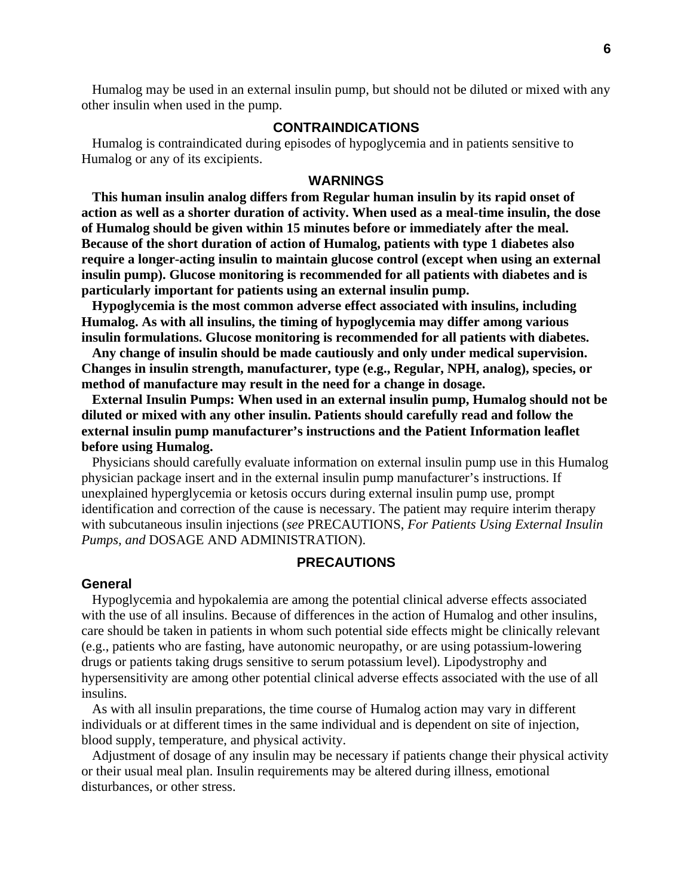Humalog may be used in an external insulin pump, but should not be diluted or mixed with any other insulin when used in the pump.

# **CONTRAINDICATIONS**

Humalog is contraindicated during episodes of hypoglycemia and in patients sensitive to Humalog or any of its excipients.

# **WARNINGS**

**This human insulin analog differs from Regular human insulin by its rapid onset of action as well as a shorter duration of activity. When used as a meal-time insulin, the dose of Humalog should be given within 15 minutes before or immediately after the meal. Because of the short duration of action of Humalog, patients with type 1 diabetes also require a longer-acting insulin to maintain glucose control (except when using an external insulin pump). Glucose monitoring is recommended for all patients with diabetes and is particularly important for patients using an external insulin pump.**

**Hypoglycemia is the most common adverse effect associated with insulins, including Humalog. As with all insulins, the timing of hypoglycemia may differ among various insulin formulations. Glucose monitoring is recommended for all patients with diabetes.**

**Any change of insulin should be made cautiously and only under medical supervision. Changes in insulin strength, manufacturer, type (e.g., Regular, NPH, analog), species, or method of manufacture may result in the need for a change in dosage.**

**External Insulin Pumps: When used in an external insulin pump, Humalog should not be diluted or mixed with any other insulin. Patients should carefully read and follow the external insulin pump manufacturer's instructions and the Patient Information leaflet before using Humalog.**

Physicians should carefully evaluate information on external insulin pump use in this Humalog physician package insert and in the external insulin pump manufacturer's instructions. If unexplained hyperglycemia or ketosis occurs during external insulin pump use, prompt identification and correction of the cause is necessary. The patient may require interim therapy with subcutaneous insulin injections (*see* PRECAUTIONS, *For Patients Using External Insulin Pumps, and* DOSAGE AND ADMINISTRATION).

# **PRECAUTIONS**

#### **General**

Hypoglycemia and hypokalemia are among the potential clinical adverse effects associated with the use of all insulins. Because of differences in the action of Humalog and other insulins, care should be taken in patients in whom such potential side effects might be clinically relevant (e.g., patients who are fasting, have autonomic neuropathy, or are using potassium-lowering drugs or patients taking drugs sensitive to serum potassium level). Lipodystrophy and hypersensitivity are among other potential clinical adverse effects associated with the use of all insulins.

As with all insulin preparations, the time course of Humalog action may vary in different individuals or at different times in the same individual and is dependent on site of injection, blood supply, temperature, and physical activity.

Adjustment of dosage of any insulin may be necessary if patients change their physical activity or their usual meal plan. Insulin requirements may be altered during illness, emotional disturbances, or other stress.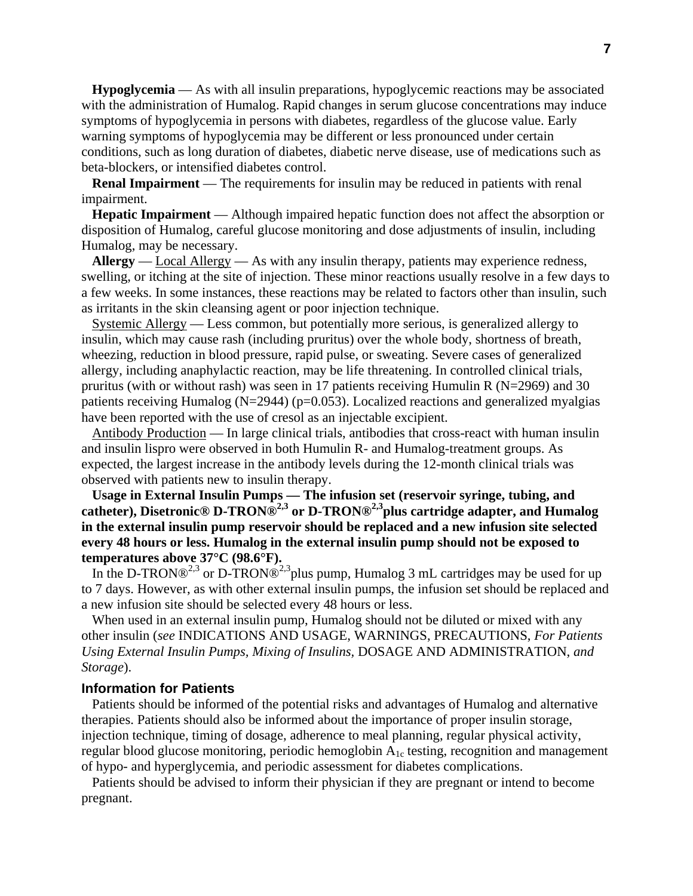**Hypoglycemia** — As with all insulin preparations, hypoglycemic reactions may be associated with the administration of Humalog. Rapid changes in serum glucose concentrations may induce symptoms of hypoglycemia in persons with diabetes, regardless of the glucose value. Early warning symptoms of hypoglycemia may be different or less pronounced under certain conditions, such as long duration of diabetes, diabetic nerve disease, use of medications such as beta-blockers, or intensified diabetes control.

**Renal Impairment** — The requirements for insulin may be reduced in patients with renal impairment.

**Hepatic Impairment** — Although impaired hepatic function does not affect the absorption or disposition of Humalog, careful glucose monitoring and dose adjustments of insulin, including Humalog, may be necessary.

**Allergy** — Local Allergy — As with any insulin therapy, patients may experience redness, swelling, or itching at the site of injection. These minor reactions usually resolve in a few days to a few weeks. In some instances, these reactions may be related to factors other than insulin, such as irritants in the skin cleansing agent or poor injection technique.

Systemic Allergy — Less common, but potentially more serious, is generalized allergy to insulin, which may cause rash (including pruritus) over the whole body, shortness of breath, wheezing, reduction in blood pressure, rapid pulse, or sweating. Severe cases of generalized allergy, including anaphylactic reaction, may be life threatening. In controlled clinical trials, pruritus (with or without rash) was seen in 17 patients receiving Humulin R (N=2969) and 30 patients receiving Humalog  $(N=2944)$  (p=0.053). Localized reactions and generalized myalgias have been reported with the use of cresol as an injectable excipient.

Antibody Production — In large clinical trials, antibodies that cross-react with human insulin and insulin lispro were observed in both Humulin R- and Humalog-treatment groups. As expected, the largest increase in the antibody levels during the 12-month clinical trials was observed with patients new to insulin therapy.

**Usage in External Insulin Pumps — The infusion set (reservoir syringe, tubing, and catheter), Disetronic® D-TRON®2,3 or D-TRON®2,3plus cartridge adapter, and Humalog in the external insulin pump reservoir should be replaced and a new infusion site selected every 48 hours or less. Humalog in the external insulin pump should not be exposed to temperatures above 37°C (98.6°F).**

In the D-TRON $\mathbb{D}^2$ <sup>3</sup> or D-TRON $\mathbb{D}^2$ <sup>3</sup>plus pump, Humalog 3 mL cartridges may be used for up to 7 days. However, as with other external insulin pumps, the infusion set should be replaced and a new infusion site should be selected every 48 hours or less.

When used in an external insulin pump, Humalog should not be diluted or mixed with any other insulin (*see* INDICATIONS AND USAGE, WARNINGS, PRECAUTIONS, *For Patients Using External Insulin Pumps, Mixing of Insulins,* DOSAGE AND ADMINISTRATION, *and Storage*).

#### **Information for Patients**

Patients should be informed of the potential risks and advantages of Humalog and alternative therapies. Patients should also be informed about the importance of proper insulin storage, injection technique, timing of dosage, adherence to meal planning, regular physical activity, regular blood glucose monitoring, periodic hemoglobin  $A_{1c}$  testing, recognition and management of hypo- and hyperglycemia, and periodic assessment for diabetes complications.

Patients should be advised to inform their physician if they are pregnant or intend to become pregnant.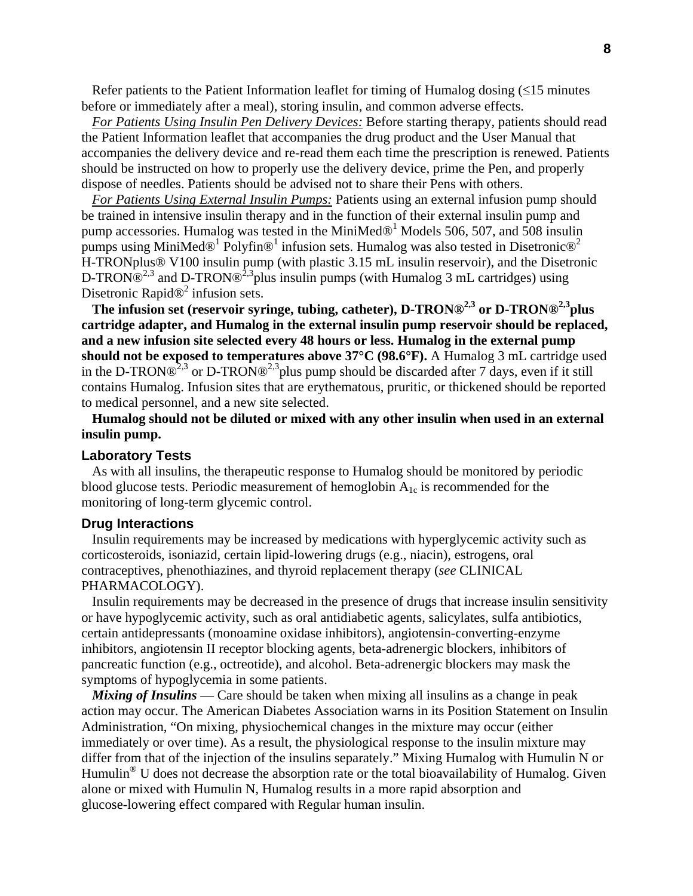Refer patients to the Patient Information leaflet for timing of Humalog dosing  $(\leq 15$  minutes before or immediately after a meal), storing insulin, and common adverse effects.

*For Patients Using Insulin Pen Delivery Devices:* Before starting therapy, patients should read the Patient Information leaflet that accompanies the drug product and the User Manual that accompanies the delivery device and re-read them each time the prescription is renewed. Patients should be instructed on how to properly use the delivery device, prime the Pen, and properly dispose of needles. Patients should be advised not to share their Pens with others.

*For Patients Using External Insulin Pumps:* Patients using an external infusion pump should be trained in intensive insulin therapy and in the function of their external insulin pump and pump accessories. Humalog was tested in the MiniMed $\mathcal{O}^1$  Models 506, 507, and 508 insulin pumps using MiniMed $\mathbb{D}^1$  Polyfin $\mathbb{D}^1$  infusion sets. Humalog was also tested in Disetronic $\mathbb{D}^2$ H-TRONplus® V100 insulin pump (with plastic 3.15 mL insulin reservoir), and the Disetronic D-TRON®<sup>2,3</sup> and D-TRON®<sup>2,3</sup>plus insulin pumps (with Humalog 3 mL cartridges) using Disetronic Rapid $\mathbb{D}^2$  infusion sets.

**The infusion set (reservoir syringe, tubing, catheter), D-TRON®2,3 or D-TRON®2,3plus cartridge adapter, and Humalog in the external insulin pump reservoir should be replaced, and a new infusion site selected every 48 hours or less. Humalog in the external pump should not be exposed to temperatures above 37°C (98.6°F).** A Humalog 3 mL cartridge used in the D-TRON®<sup>2,3</sup> or D-TRON®<sup>2,3</sup>plus pump should be discarded after 7 days, even if it still contains Humalog. Infusion sites that are erythematous, pruritic, or thickened should be reported to medical personnel, and a new site selected.

**Humalog should not be diluted or mixed with any other insulin when used in an external insulin pump.**

### **Laboratory Tests**

As with all insulins, the therapeutic response to Humalog should be monitored by periodic blood glucose tests. Periodic measurement of hemoglobin  $A_{1c}$  is recommended for the monitoring of long-term glycemic control.

### **Drug Interactions**

Insulin requirements may be increased by medications with hyperglycemic activity such as corticosteroids, isoniazid, certain lipid-lowering drugs (e.g., niacin), estrogens, oral contraceptives, phenothiazines, and thyroid replacement therapy (*see* CLINICAL PHARMACOLOGY).

Insulin requirements may be decreased in the presence of drugs that increase insulin sensitivity or have hypoglycemic activity, such as oral antidiabetic agents, salicylates, sulfa antibiotics, certain antidepressants (monoamine oxidase inhibitors), angiotensin-converting-enzyme inhibitors, angiotensin II receptor blocking agents, beta-adrenergic blockers, inhibitors of pancreatic function (e.g., octreotide), and alcohol. Beta-adrenergic blockers may mask the symptoms of hypoglycemia in some patients.

*Mixing of Insulins* — Care should be taken when mixing all insulins as a change in peak action may occur. The American Diabetes Association warns in its Position Statement on Insulin Administration, "On mixing, physiochemical changes in the mixture may occur (either immediately or over time). As a result, the physiological response to the insulin mixture may differ from that of the injection of the insulins separately." Mixing Humalog with Humulin N or Humulin<sup>®</sup> U does not decrease the absorption rate or the total bioavailability of Humalog. Given alone or mixed with Humulin N, Humalog results in a more rapid absorption and glucose-lowering effect compared with Regular human insulin.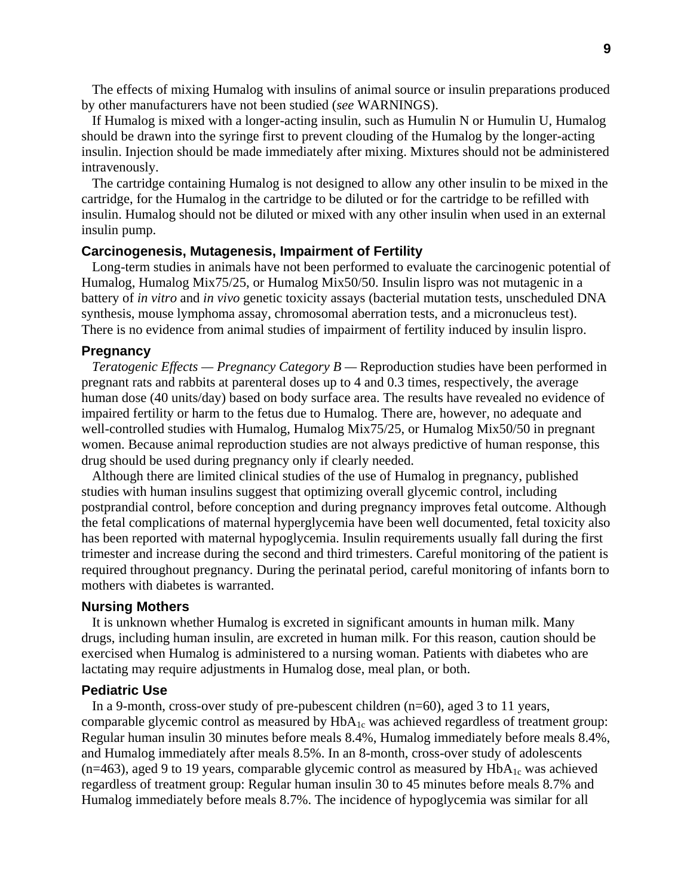The effects of mixing Humalog with insulins of animal source or insulin preparations produced by other manufacturers have not been studied (*see* WARNINGS).

If Humalog is mixed with a longer-acting insulin, such as Humulin N or Humulin U, Humalog should be drawn into the syringe first to prevent clouding of the Humalog by the longer-acting insulin. Injection should be made immediately after mixing. Mixtures should not be administered intravenously.

The cartridge containing Humalog is not designed to allow any other insulin to be mixed in the cartridge, for the Humalog in the cartridge to be diluted or for the cartridge to be refilled with insulin. Humalog should not be diluted or mixed with any other insulin when used in an external insulin pump.

### **Carcinogenesis, Mutagenesis, Impairment of Fertility**

Long-term studies in animals have not been performed to evaluate the carcinogenic potential of Humalog, Humalog Mix75/25, or Humalog Mix50/50. Insulin lispro was not mutagenic in a battery of *in vitro* and *in vivo* genetic toxicity assays (bacterial mutation tests, unscheduled DNA synthesis, mouse lymphoma assay, chromosomal aberration tests, and a micronucleus test). There is no evidence from animal studies of impairment of fertility induced by insulin lispro.

#### **Pregnancy**

*Teratogenic Effects — Pregnancy Category B —* Reproduction studies have been performed in pregnant rats and rabbits at parenteral doses up to 4 and 0.3 times, respectively, the average human dose (40 units/day) based on body surface area. The results have revealed no evidence of impaired fertility or harm to the fetus due to Humalog. There are, however, no adequate and well-controlled studies with Humalog, Humalog Mix75/25, or Humalog Mix50/50 in pregnant women. Because animal reproduction studies are not always predictive of human response, this drug should be used during pregnancy only if clearly needed.

Although there are limited clinical studies of the use of Humalog in pregnancy, published studies with human insulins suggest that optimizing overall glycemic control, including postprandial control, before conception and during pregnancy improves fetal outcome. Although the fetal complications of maternal hyperglycemia have been well documented, fetal toxicity also has been reported with maternal hypoglycemia. Insulin requirements usually fall during the first trimester and increase during the second and third trimesters. Careful monitoring of the patient is required throughout pregnancy. During the perinatal period, careful monitoring of infants born to mothers with diabetes is warranted.

#### **Nursing Mothers**

It is unknown whether Humalog is excreted in significant amounts in human milk. Many drugs, including human insulin, are excreted in human milk. For this reason, caution should be exercised when Humalog is administered to a nursing woman. Patients with diabetes who are lactating may require adjustments in Humalog dose, meal plan, or both.

# **Pediatric Use**

In a 9-month, cross-over study of pre-pubescent children (n=60), aged 3 to 11 years, comparable glycemic control as measured by HbA<sub>1c</sub> was achieved regardless of treatment group: Regular human insulin 30 minutes before meals 8.4%, Humalog immediately before meals 8.4%, and Humalog immediately after meals 8.5%. In an 8-month, cross-over study of adolescents  $(n=463)$ , aged 9 to 19 years, comparable glycemic control as measured by  $HbA<sub>1c</sub>$  was achieved regardless of treatment group: Regular human insulin 30 to 45 minutes before meals 8.7% and Humalog immediately before meals 8.7%. The incidence of hypoglycemia was similar for all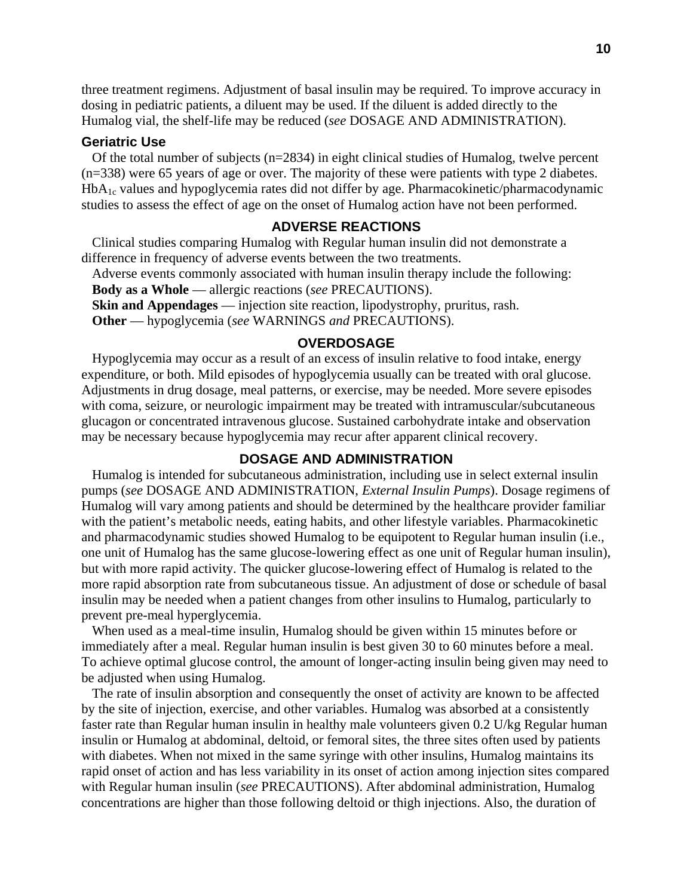three treatment regimens. Adjustment of basal insulin may be required. To improve accuracy in dosing in pediatric patients, a diluent may be used. If the diluent is added directly to the Humalog vial, the shelf-life may be reduced (*see* DOSAGE AND ADMINISTRATION).

## **Geriatric Use**

Of the total number of subjects  $(n=2834)$  in eight clinical studies of Humalog, twelve percent (n=338) were 65 years of age or over. The majority of these were patients with type 2 diabetes.  $HbA_{1c}$  values and hypoglycemia rates did not differ by age. Pharmacokinetic/pharmacodynamic studies to assess the effect of age on the onset of Humalog action have not been performed.

# **ADVERSE REACTIONS**

Clinical studies comparing Humalog with Regular human insulin did not demonstrate a difference in frequency of adverse events between the two treatments.

Adverse events commonly associated with human insulin therapy include the following: **Body as a Whole** — allergic reactions (*see* PRECAUTIONS).

**Skin and Appendages** — injection site reaction, lipodystrophy, pruritus, rash. **Other** — hypoglycemia (*see* WARNINGS *and* PRECAUTIONS).

# **OVERDOSAGE**

Hypoglycemia may occur as a result of an excess of insulin relative to food intake, energy expenditure, or both. Mild episodes of hypoglycemia usually can be treated with oral glucose. Adjustments in drug dosage, meal patterns, or exercise, may be needed. More severe episodes with coma, seizure, or neurologic impairment may be treated with intramuscular/subcutaneous glucagon or concentrated intravenous glucose. Sustained carbohydrate intake and observation may be necessary because hypoglycemia may recur after apparent clinical recovery.

#### **DOSAGE AND ADMINISTRATION**

Humalog is intended for subcutaneous administration, including use in select external insulin pumps (*see* DOSAGE AND ADMINISTRATION, *External Insulin Pumps*). Dosage regimens of Humalog will vary among patients and should be determined by the healthcare provider familiar with the patient's metabolic needs, eating habits, and other lifestyle variables. Pharmacokinetic and pharmacodynamic studies showed Humalog to be equipotent to Regular human insulin (i.e., one unit of Humalog has the same glucose-lowering effect as one unit of Regular human insulin), but with more rapid activity. The quicker glucose-lowering effect of Humalog is related to the more rapid absorption rate from subcutaneous tissue. An adjustment of dose or schedule of basal insulin may be needed when a patient changes from other insulins to Humalog, particularly to prevent pre-meal hyperglycemia.

When used as a meal-time insulin, Humalog should be given within 15 minutes before or immediately after a meal. Regular human insulin is best given 30 to 60 minutes before a meal. To achieve optimal glucose control, the amount of longer-acting insulin being given may need to be adjusted when using Humalog.

The rate of insulin absorption and consequently the onset of activity are known to be affected by the site of injection, exercise, and other variables. Humalog was absorbed at a consistently faster rate than Regular human insulin in healthy male volunteers given 0.2 U/kg Regular human insulin or Humalog at abdominal, deltoid, or femoral sites, the three sites often used by patients with diabetes. When not mixed in the same syringe with other insulins, Humalog maintains its rapid onset of action and has less variability in its onset of action among injection sites compared with Regular human insulin (*see* PRECAUTIONS). After abdominal administration, Humalog concentrations are higher than those following deltoid or thigh injections. Also, the duration of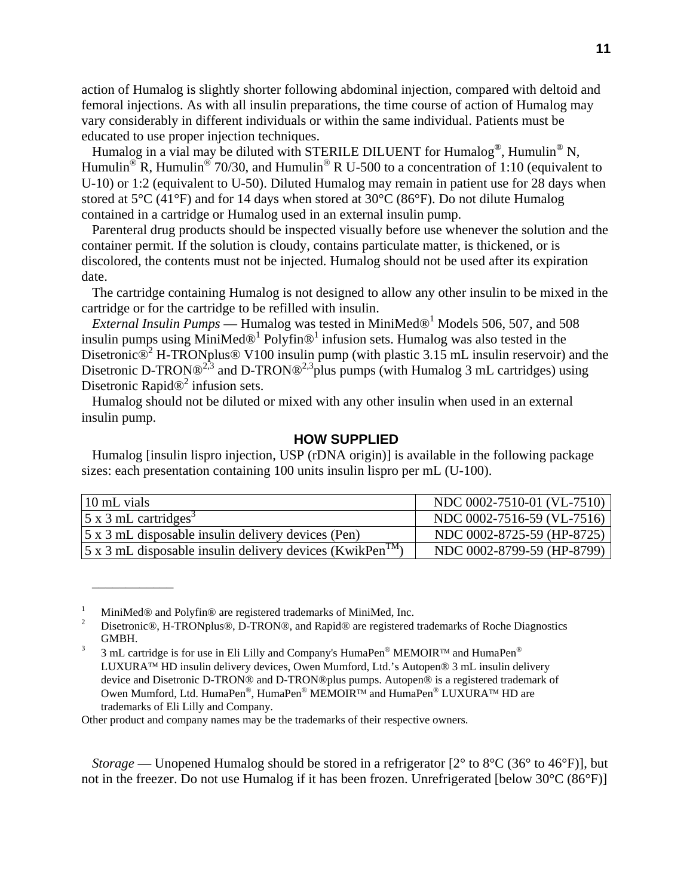action of Humalog is slightly shorter following abdominal injection, compared with deltoid and femoral injections. As with all insulin preparations, the time course of action of Humalog may vary considerably in different individuals or within the same individual. Patients must be educated to use proper injection techniques.

Humalog in a vial may be diluted with STERILE DILUENT for Humalog<sup>®</sup>, Humulin<sup>®</sup> N, Humulin<sup>®</sup> R, Humulin<sup>®</sup> 70/30, and Humulin<sup>®</sup> R U-500 to a concentration of 1:10 (equivalent to U-10) or 1:2 (equivalent to U-50). Diluted Humalog may remain in patient use for 28 days when stored at 5°C (41°F) and for 14 days when stored at 30°C (86°F). Do not dilute Humalog contained in a cartridge or Humalog used in an external insulin pump.

Parenteral drug products should be inspected visually before use whenever the solution and the container permit. If the solution is cloudy, contains particulate matter, is thickened, or is discolored, the contents must not be injected. Humalog should not be used after its expiration date.

The cartridge containing Humalog is not designed to allow any other insulin to be mixed in the cartridge or for the cartridge to be refilled with insulin.

*External Insulin Pumps* — Humalog was tested in MiniMed®<sup>1</sup> Models 506, 507, and 508 insulin pumps using MiniMed $\mathbb{O}^1$  Polyfin $\mathbb{O}^1$  infusion sets. Humalog was also tested in the Disetronic $\overline{O}^2$  H-TRONplus $\overline{O}$  V100 insulin pump (with plastic 3.15 mL insulin reservoir) and the Disetronic D-TRON®<sup>2,3</sup> and D-TRON®<sup>2,3</sup> plus pumps (with Humalog 3 mL cartridges) using Disetronic Rapid $\mathbb{D}^2$  infusion sets.

Humalog should not be diluted or mixed with any other insulin when used in an external insulin pump.

#### **HOW SUPPLIED**

Humalog [insulin lispro injection, USP (rDNA origin)] is available in the following package sizes: each presentation containing 100 units insulin lispro per mL (U-100).

| 10 mL vials                                                                        | NDC 0002-7510-01 (VL-7510) |
|------------------------------------------------------------------------------------|----------------------------|
| $\frac{5 \times 3 \text{ mL} \cdot \text{cartridges}}{2}$                          | NDC 0002-7516-59 (VL-7516) |
| $\frac{5 \times 3}{2}$ mL disposable insulin delivery devices (Pen)                | NDC 0002-8725-59 (HP-8725) |
| <sup>1</sup> 5 x 3 mL disposable insulin delivery devices (KwikPen <sup>TM</sup> ) | NDC 0002-8799-59 (HP-8799) |

\_\_\_\_\_\_\_\_\_\_\_\_

Other product and company names may be the trademarks of their respective owners.

*Storage* — Unopened Humalog should be stored in a refrigerator [2<sup>o</sup> to 8<sup>o</sup>C (36<sup>o</sup> to 46<sup>o</sup>F)], but not in the freezer. Do not use Humalog if it has been frozen. Unrefrigerated [below 30°C (86°F)]

<sup>1</sup> MiniMed® and Polyfin® are registered trademarks of MiniMed, Inc.<br>2 Disetronic®, H-TRONplus®, D-TRON®, and Rapid® are registered trademarks of Roche Diagnostics  $3 \text{ }\text{mL}$  cartridge is for use in Eli Lilly and Company's HumaPen<sup>®</sup> MEMOIR<sup>™</sup> and HumaPen<sup>®</sup>

LUXURA™ HD insulin delivery devices, Owen Mumford, Ltd.'s Autopen® 3 mL insulin delivery device and Disetronic D-TRON® and D-TRON®plus pumps. Autopen® is a registered trademark of Owen Mumford, Ltd. HumaPen®, HumaPen® MEMOIR™ and HumaPen® LUXURA™ HD are trademarks of Eli Lilly and Company.